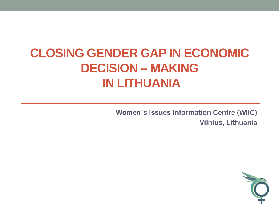## **CLOSING GENDER GAP IN ECONOMIC DECISION – MAKING IN LITHUANIA**

**Women`s Issues Information Centre (WIIC) Vilnius, Lithuania**

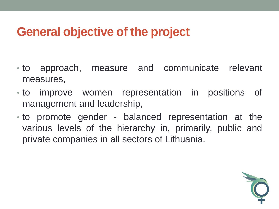#### **General objective of the project**

- to approach, measure and communicate relevant measures,
- to improve women representation in positions of management and leadership,
- to promote gender balanced representation at the various levels of the hierarchy in, primarily, public and private companies in all sectors of Lithuania.

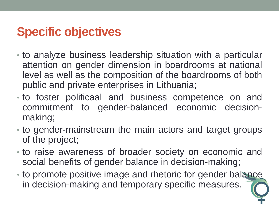#### **Specific objectives**

- to analyze business leadership situation with a particular attention on gender dimension in boardrooms at national level as well as the composition of the boardrooms of both public and private enterprises in Lithuania;
- to foster politicaal and business competence on and commitment to gender-balanced economic decisionmaking;
- to gender-mainstream the main actors and target groups of the project;
- to raise awareness of broader society on economic and social benefits of gender balance in decision-making;
- to promote positive image and rhetoric for gender balance in decision-making and temporary specific measures.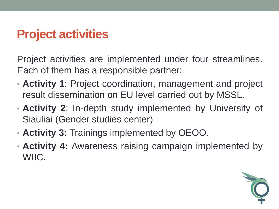#### **Project activities**

Project activities are implemented under four streamlines. Each of them has a responsible partner:

- **Activity 1**: Project coordination, management and project result dissemination on EU level carried out by MSSL.
- **Activity 2**: In-depth study implemented by University of Siauliai (Gender studies center)
- **Activity 3:** Trainings implemented by OEOO.
- **Activity 4:** Awareness raising campaign implemented by WIIC.

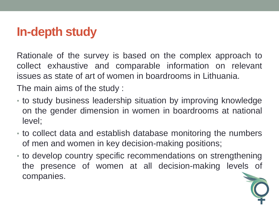#### **In-depth study**

Rationale of the survey is based on the complex approach to collect exhaustive and comparable information on relevant issues as state of art of women in boardrooms in Lithuania.

The main aims of the study :

- to study business leadership situation by improving knowledge on the gender dimension in women in boardrooms at national level;
- to collect data and establish database monitoring the numbers of men and women in key decision-making positions;
- to develop country specific recommendations on strengthening the presence of women at all decision-making levels of companies.

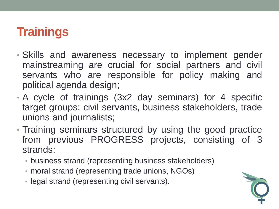#### **Trainings**

- Skills and awareness necessary to implement gender mainstreaming are crucial for social partners and civil servants who are responsible for policy making and political agenda design;
- A cycle of trainings (3x2 day seminars) for 4 specific target groups: civil servants, business stakeholders, trade unions and journalists;
- Training seminars structured by using the good practice from previous PROGRESS projects, consisting of 3 strands:
	- business strand (representing business stakeholders)
	- moral strand (representing trade unions, NGOs)
	- legal strand (representing civil servants).

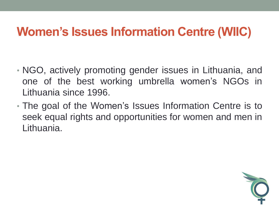#### **Women's Issues Information Centre (WIIC)**

- NGO, actively promoting gender issues in Lithuania, and one of the best working umbrella women's NGOs in Lithuania since 1996.
- The goal of the Women's Issues Information Centre is to seek equal rights and opportunities for women and men in Lithuania.

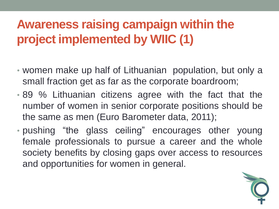## **Awareness raising campaign within the project implemented by WIIC (1)**

- women make up half of Lithuanian population, but only a small fraction get as far as the corporate boardroom;
- 89 % Lithuanian citizens agree with the fact that the number of women in senior corporate positions should be the same as men (Euro Barometer data, 2011);
- pushing "the glass ceiling" encourages other young female professionals to pursue a career and the whole society benefits by closing gaps over access to resources and opportunities for women in general.

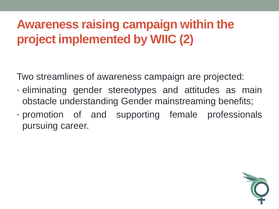## **Awareness raising campaign within the project implemented by WIIC (2)**

Two streamlines of awareness campaign are projected:

- eliminating gender stereotypes and attitudes as main obstacle understanding Gender mainstreaming benefits;
- promotion of and supporting female professionals pursuing career.

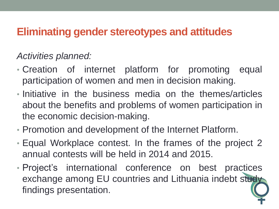#### **Eliminating gender stereotypes and attitudes**

#### *Activities planned:*

- Creation of internet platform for promoting equal participation of women and men in decision making.
- Initiative in the business media on the themes/articles about the benefits and problems of women participation in the economic decision-making.
- Promotion and development of the Internet Platform.
- Equal Workplace contest. In the frames of the project 2 annual contests will be held in 2014 and 2015.
- Project's international conference on best practices exchange among EU countries and Lithuania indebt study findings presentation.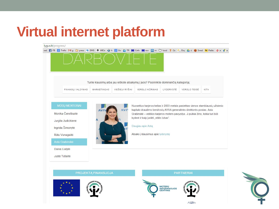# **Virtual internet platform**

lygus.lt/progress/ rad 【 FB <mark>& Trello Mg ① press <\*</mark> DMS 泰 MICe Q h <mark>&</mark> Go ② TR 圖 Calls 圖 euv <mark>m</mark> m <del>○</del> food 字 Ce & Oru & d ❸ Swed © Pašto G a t Turite klausimų arba jau ieškote atsakymų į juos? Pasirinkite dominančią kategoriją: FINANSU VALDYMAS **MARKETINGAS** VIEŠIEJI RYŠIAI VERSLO KŪRIMAS LYDERYSTĖ VERSLO TEISĖ KITA Nuoseklus karjeros kelias ir 2003 metais pasiektas vienos stambiausių užsienio **AVI** kapitalo draudimo bendrovių AVIVA generalinės direktorės postas. Asta Monika Čereškaitė Grabinskė – veiklios karjeros moters pavyzdys. Ji puikiai žino, kokia turi būti kyderė ir kaip įveikti "stiklo lubas". Jurgita Judickienė Daugiau apie Astą Ingrida Šimonytė Atsako į klausimus apie lyderystę Rūta Vanagaitė Daiva Lialytė Justė Tušaitė



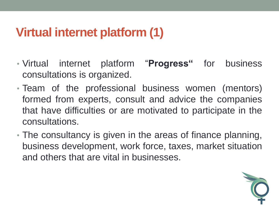#### **Virtual internet platform (1)**

- Virtual internet platform "**Progress"** for business consultations is organized.
- Team of the professional business women (mentors) formed from experts, consult and advice the companies that have difficulties or are motivated to participate in the consultations.
- The consultancy is given in the areas of finance planning, business development, work force, taxes, market situation and others that are vital in businesses.

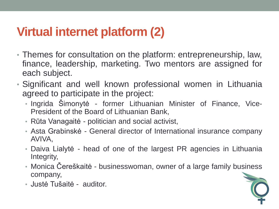#### **Virtual internet platform (2)**

- Themes for consultation on the platform: entrepreneurship, law, finance, leadership, marketing. Two mentors are assigned for each subject.
- Significant and well known professional women in Lithuania agreed to participate in the project:
	- Ingrida Šimonytė former Lithuanian Minister of Finance, Vice-President of the Board of Lithuanian Bank,
	- Rūta Vanagaitė politician and social activist,
	- Asta Grabinskė General director of International insurance company AVIVA,
	- Daiva Lialytė head of one of the largest PR agencies in Lithuania Integrity,
	- Monica Čereškaitė businesswoman, owner of a large family business company,
	- Justė Tušaitė auditor.

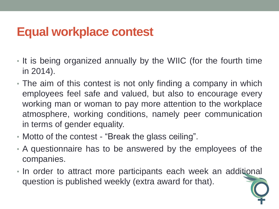#### **Equal workplace contest**

- It is being organized annually by the WIIC (for the fourth time in 2014).
- The aim of this contest is not only finding a company in which employees feel safe and valued, but also to encourage every working man or woman to pay more attention to the workplace atmosphere, working conditions, namely peer communication in terms of gender equality.
- Motto of the contest "Break the glass ceiling".
- A questionnaire has to be answered by the employees of the companies.
- In order to attract more participants each week an additional question is published weekly (extra award for that).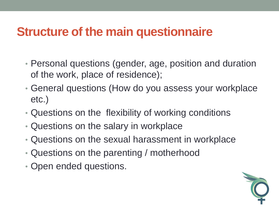#### **Structure of the main questionnaire**

- Personal questions (gender, age, position and duration of the work, place of residence);
- General questions (How do you assess your workplace etc.)
- Questions on the flexibility of working conditions
- Questions on the salary in workplace
- Questions on the sexual harassment in workplace
- Questions on the parenting / motherhood
- Open ended questions.

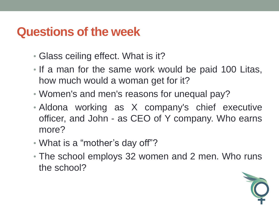#### **Questions of the week**

- Glass ceiling effect. What is it?
- If a man for the same work would be paid 100 Litas, how much would a woman get for it?
- Women's and men's reasons for unequal pay?
- Aldona working as X company's chief executive officer, and John - as CEO of Y company. Who earns more?
- What is a "mother's day off"?
- The school employs 32 women and 2 men. Who runs the school?

![](_page_15_Picture_7.jpeg)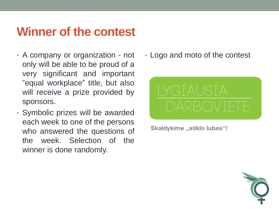#### **Winner of the contest**

- A company or organization not only will be able to be proud of a very significant and important "equal workplace" title, but also will receive a prize provided by sponsors.
- Symbolic prizes will be awarded each week to one of the persons who answered the questions of the week. Selection of the winner is done randomly.

• Logo and moto of the contest

![](_page_16_Picture_4.jpeg)

**Skaldykime "stiklo lubas"!** 

![](_page_16_Picture_6.jpeg)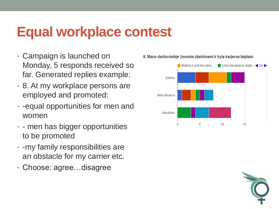# **Equal workplace contest**

- Campaign is launched on Monday, 5 responds received so far. Generated replies example:
- 8. At my workplace persons are employed and promoted:
- -equal opportunities for men and women
- - men has bigger opportunities to be promoted
- -my family responsibilities are an obstacle for my carrier etc.
- Choose: agree…disagree

![](_page_17_Figure_7.jpeg)

#### 8. Mano darbovietėje žmonės įdarbinami ir kyla karjeros laiptais:

![](_page_17_Picture_9.jpeg)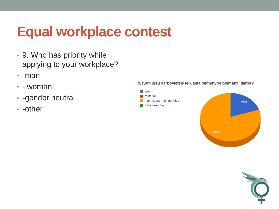# **Equal workplace contest**

- 9. Who has priority while applying to your workplace?
- -man
- - woman
- -gender neutral
- -other

![](_page_18_Figure_6.jpeg)

![](_page_18_Figure_7.jpeg)

![](_page_18_Picture_8.jpeg)